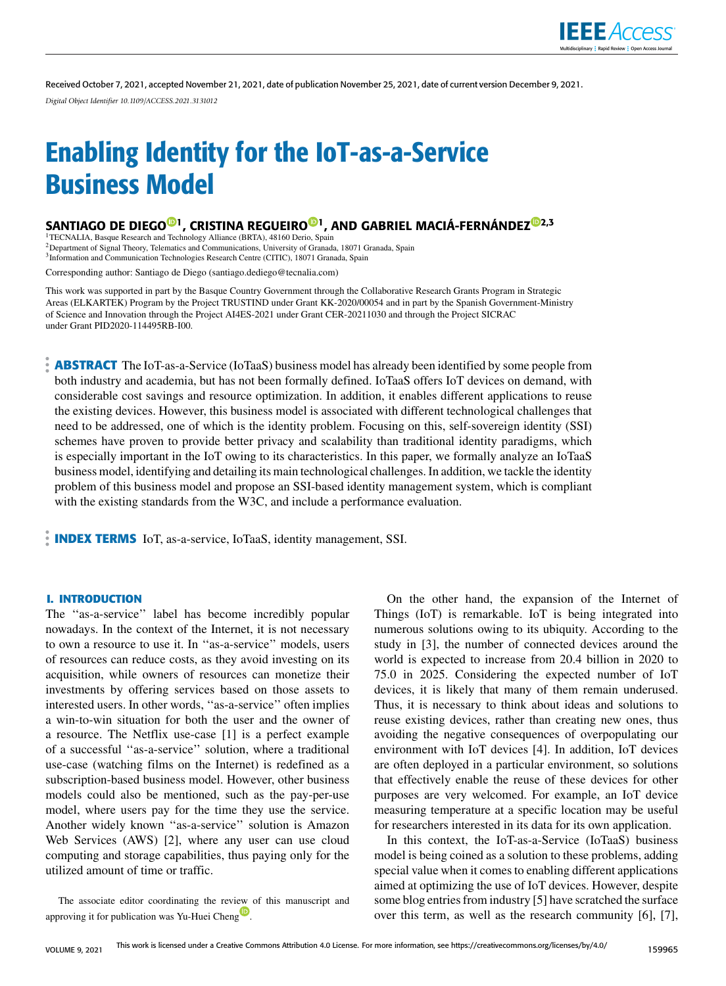

Received October 7, 2021, accepted November 21, 2021, date of publication November 25, 2021, date of current version December 9, 2021. *Digital Object Identifier 10.1109/ACCESS.2021.3131012*

# Enabling Identity for the IoT-as-a-Service Business Model

# SANTIAG[O](https://orcid.org/0000-0002-6031-9449) DE DIEGO<sup>®1</sup>, CRISTINA REGUEIRO<sup>®1</sup>, AND GABRIEL MACIÁ-FERNÁNDE[Z](https://orcid.org/0000-0001-9256-453X)<sup>®2,3</sup>

<sup>1</sup>TECNALIA, Basque Research and Technology Alliance (BRTA), 48160 Derio, Spain <sup>2</sup>Department of Signal Theory, Telematics and Communications, University of Granada, 18071 Granada, Spain <sup>3</sup>Information and Communication Technologies Research Centre (CITIC), 18071 Granada, Spain

Corresponding author: Santiago de Diego (santiago.dediego@tecnalia.com)

This work was supported in part by the Basque Country Government through the Collaborative Research Grants Program in Strategic Areas (ELKARTEK) Program by the Project TRUSTIND under Grant KK-2020/00054 and in part by the Spanish Government-Ministry of Science and Innovation through the Project AI4ES-2021 under Grant CER-20211030 and through the Project SICRAC under Grant PID2020-114495RB-I00.

**ABSTRACT** The IoT-as-a-Service (IoTaaS) business model has already been identified by some people from both industry and academia, but has not been formally defined. IoTaaS offers IoT devices on demand, with considerable cost savings and resource optimization. In addition, it enables different applications to reuse the existing devices. However, this business model is associated with different technological challenges that need to be addressed, one of which is the identity problem. Focusing on this, self-sovereign identity (SSI) schemes have proven to provide better privacy and scalability than traditional identity paradigms, which is especially important in the IoT owing to its characteristics. In this paper, we formally analyze an IoTaaS business model, identifying and detailing its main technological challenges. In addition, we tackle the identity problem of this business model and propose an SSI-based identity management system, which is compliant with the existing standards from the W3C, and include a performance evaluation.

**INDEX TERMS** IoT, as-a-service, IoTaaS, identity management, SSI.

## **I. INTRODUCTION**

The ''as-a-service'' label has become incredibly popular nowadays. In the context of the Internet, it is not necessary to own a resource to use it. In ''as-a-service'' models, users of resources can reduce costs, as they avoid investing on its acquisition, while owners of resources can monetize their investments by offering services based on those assets to interested users. In other words, ''as-a-service'' often implies a win-to-win situation for both the user and the owner of a resource. The Netflix use-case [1] is a perfect example of a successful ''as-a-service'' solution, where a traditional use-case (watching films on the Internet) is redefined as a subscription-based business model. However, other business models could also be mentioned, such as the pay-per-use model, where users pay for the time they use the service. Another widely known ''as-a-service'' solution is Amazon Web Services (AWS) [2], where any user can use cloud computing and storage capabilities, thus paying only for the utilized amount of time or traffic.

The associate editor coordinating the revi[ew](https://orcid.org/0000-0002-1468-6686) of this manuscript and approving it for publication was Yu-Huei Cheng<sup>10</sup>.

On the other hand, the expansion of the Internet of Things (IoT) is remarkable. IoT is being integrated into numerous solutions owing to its ubiquity. According to the study in [3], the number of connected devices around the world is expected to increase from 20.4 billion in 2020 to 75.0 in 2025. Considering the expected number of IoT devices, it is likely that many of them remain underused. Thus, it is necessary to think about ideas and solutions to reuse existing devices, rather than creating new ones, thus avoiding the negative consequences of overpopulating our environment with IoT devices [4]. In addition, IoT devices are often deployed in a particular environment, so solutions that effectively enable the reuse of these devices for other purposes are very welcomed. For example, an IoT device measuring temperature at a specific location may be useful for researchers interested in its data for its own application.

In this context, the IoT-as-a-Service (IoTaaS) business model is being coined as a solution to these problems, adding special value when it comes to enabling different applications aimed at optimizing the use of IoT devices. However, despite some blog entries from industry [5] have scratched the surface over this term, as well as the research community [6], [7],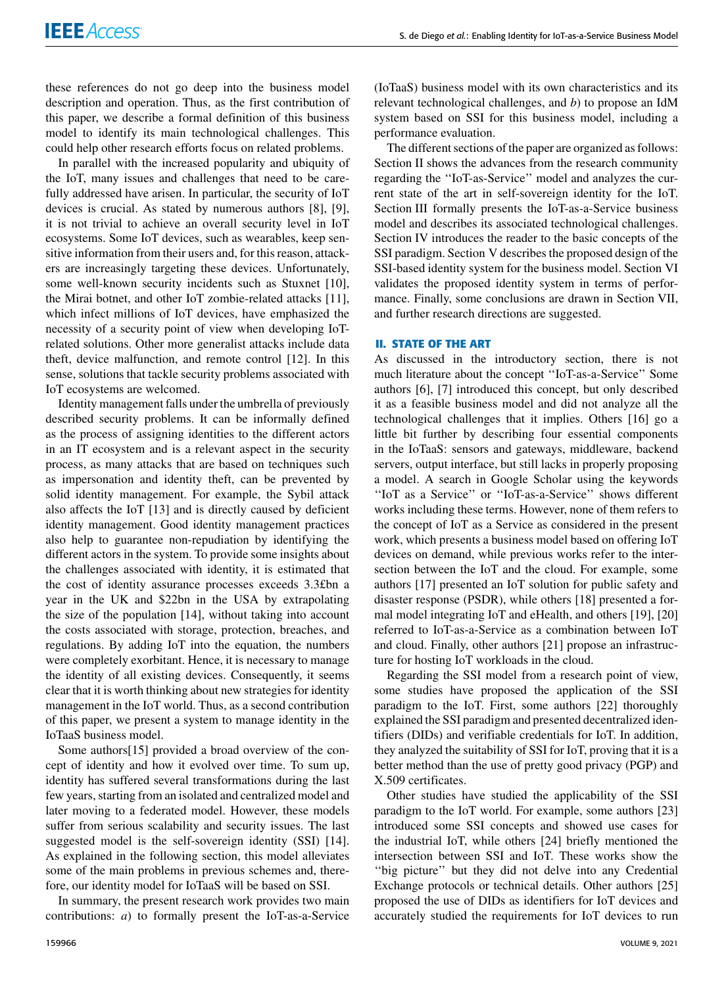these references do not go deep into the business model description and operation. Thus, as the first contribution of this paper, we describe a formal definition of this business model to identify its main technological challenges. This could help other research efforts focus on related problems.

In parallel with the increased popularity and ubiquity of the IoT, many issues and challenges that need to be carefully addressed have arisen. In particular, the security of IoT devices is crucial. As stated by numerous authors [8], [9], it is not trivial to achieve an overall security level in IoT ecosystems. Some IoT devices, such as wearables, keep sensitive information from their users and, for this reason, attackers are increasingly targeting these devices. Unfortunately, some well-known security incidents such as Stuxnet [10], the Mirai botnet, and other IoT zombie-related attacks [11], which infect millions of IoT devices, have emphasized the necessity of a security point of view when developing IoTrelated solutions. Other more generalist attacks include data theft, device malfunction, and remote control [12]. In this sense, solutions that tackle security problems associated with IoT ecosystems are welcomed.

Identity management falls under the umbrella of previously described security problems. It can be informally defined as the process of assigning identities to the different actors in an IT ecosystem and is a relevant aspect in the security process, as many attacks that are based on techniques such as impersonation and identity theft, can be prevented by solid identity management. For example, the Sybil attack also affects the IoT [13] and is directly caused by deficient identity management. Good identity management practices also help to guarantee non-repudiation by identifying the different actors in the system. To provide some insights about the challenges associated with identity, it is estimated that the cost of identity assurance processes exceeds 3.3£bn a year in the UK and \$22bn in the USA by extrapolating the size of the population [14], without taking into account the costs associated with storage, protection, breaches, and regulations. By adding IoT into the equation, the numbers were completely exorbitant. Hence, it is necessary to manage the identity of all existing devices. Consequently, it seems clear that it is worth thinking about new strategies for identity management in the IoT world. Thus, as a second contribution of this paper, we present a system to manage identity in the IoTaaS business model.

Some authors[15] provided a broad overview of the concept of identity and how it evolved over time. To sum up, identity has suffered several transformations during the last few years, starting from an isolated and centralized model and later moving to a federated model. However, these models suffer from serious scalability and security issues. The last suggested model is the self-sovereign identity (SSI) [14]. As explained in the following section, this model alleviates some of the main problems in previous schemes and, therefore, our identity model for IoTaaS will be based on SSI.

In summary, the present research work provides two main contributions: *a*) to formally present the IoT-as-a-Service (IoTaaS) business model with its own characteristics and its relevant technological challenges, and *b*) to propose an IdM system based on SSI for this business model, including a performance evaluation.

The different sections of the paper are organized as follows: Section II shows the advances from the research community regarding the ''IoT-as-Service'' model and analyzes the current state of the art in self-sovereign identity for the IoT. Section III formally presents the IoT-as-a-Service business model and describes its associated technological challenges. Section IV introduces the reader to the basic concepts of the SSI paradigm. Section V describes the proposed design of the SSI-based identity system for the business model. Section VI validates the proposed identity system in terms of performance. Finally, some conclusions are drawn in Section VII, and further research directions are suggested.

## **II. STATE OF THE ART**

As discussed in the introductory section, there is not much literature about the concept ''IoT-as-a-Service'' Some authors [6], [7] introduced this concept, but only described it as a feasible business model and did not analyze all the technological challenges that it implies. Others [16] go a little bit further by describing four essential components in the IoTaaS: sensors and gateways, middleware, backend servers, output interface, but still lacks in properly proposing a model. A search in Google Scholar using the keywords ''IoT as a Service'' or ''IoT-as-a-Service'' shows different works including these terms. However, none of them refers to the concept of IoT as a Service as considered in the present work, which presents a business model based on offering IoT devices on demand, while previous works refer to the intersection between the IoT and the cloud. For example, some authors [17] presented an IoT solution for public safety and disaster response (PSDR), while others [18] presented a formal model integrating IoT and eHealth, and others [19], [20] referred to IoT-as-a-Service as a combination between IoT and cloud. Finally, other authors [21] propose an infrastructure for hosting IoT workloads in the cloud.

Regarding the SSI model from a research point of view, some studies have proposed the application of the SSI paradigm to the IoT. First, some authors [22] thoroughly explained the SSI paradigm and presented decentralized identifiers (DIDs) and verifiable credentials for IoT. In addition, they analyzed the suitability of SSI for IoT, proving that it is a better method than the use of pretty good privacy (PGP) and X.509 certificates.

Other studies have studied the applicability of the SSI paradigm to the IoT world. For example, some authors [23] introduced some SSI concepts and showed use cases for the industrial IoT, while others [24] briefly mentioned the intersection between SSI and IoT. These works show the ''big picture'' but they did not delve into any Credential Exchange protocols or technical details. Other authors [25] proposed the use of DIDs as identifiers for IoT devices and accurately studied the requirements for IoT devices to run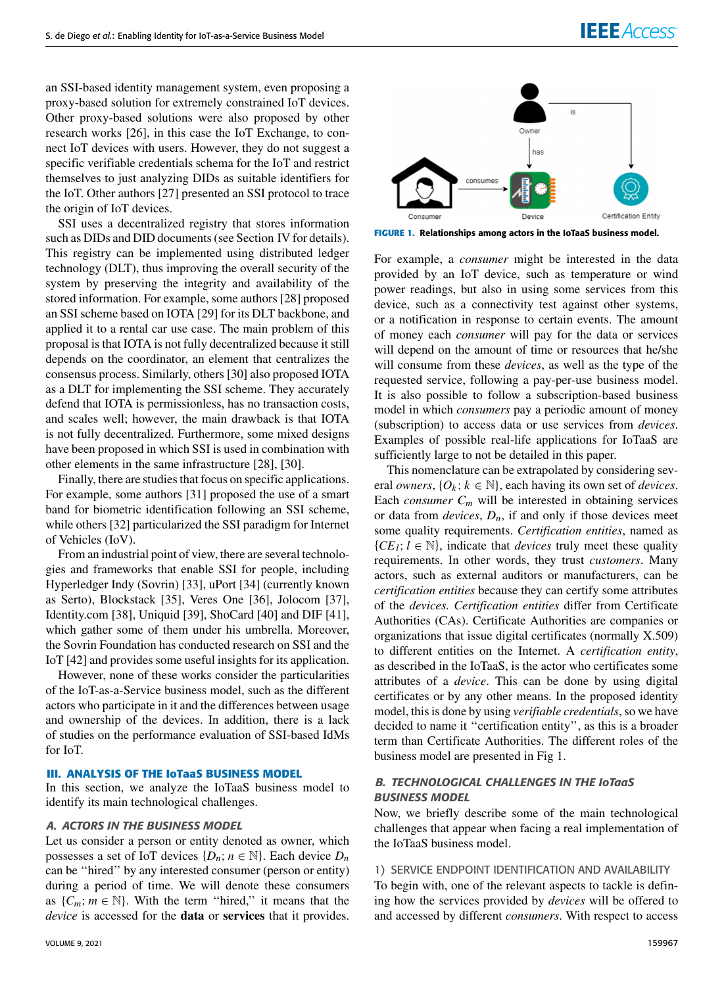an SSI-based identity management system, even proposing a proxy-based solution for extremely constrained IoT devices. Other proxy-based solutions were also proposed by other research works [26], in this case the IoT Exchange, to connect IoT devices with users. However, they do not suggest a specific verifiable credentials schema for the IoT and restrict themselves to just analyzing DIDs as suitable identifiers for the IoT. Other authors [27] presented an SSI protocol to trace the origin of IoT devices.

SSI uses a decentralized registry that stores information such as DIDs and DID documents (see Section IV for details). This registry can be implemented using distributed ledger technology (DLT), thus improving the overall security of the system by preserving the integrity and availability of the stored information. For example, some authors [28] proposed an SSI scheme based on IOTA [29] for its DLT backbone, and applied it to a rental car use case. The main problem of this proposal is that IOTA is not fully decentralized because it still depends on the coordinator, an element that centralizes the consensus process. Similarly, others [30] also proposed IOTA as a DLT for implementing the SSI scheme. They accurately defend that IOTA is permissionless, has no transaction costs, and scales well; however, the main drawback is that IOTA is not fully decentralized. Furthermore, some mixed designs have been proposed in which SSI is used in combination with other elements in the same infrastructure [28], [30].

Finally, there are studies that focus on specific applications. For example, some authors [31] proposed the use of a smart band for biometric identification following an SSI scheme, while others [32] particularized the SSI paradigm for Internet of Vehicles (IoV).

From an industrial point of view, there are several technologies and frameworks that enable SSI for people, including Hyperledger Indy (Sovrin) [33], uPort [34] (currently known as Serto), Blockstack [35], Veres One [36], Jolocom [37], Identity.com [38], Uniquid [39], ShoCard [40] and DIF [41], which gather some of them under his umbrella. Moreover, the Sovrin Foundation has conducted research on SSI and the IoT [42] and provides some useful insights for its application.

However, none of these works consider the particularities of the IoT-as-a-Service business model, such as the different actors who participate in it and the differences between usage and ownership of the devices. In addition, there is a lack of studies on the performance evaluation of SSI-based IdMs for IoT.

#### **III. ANALYSIS OF THE IoTaaS BUSINESS MODEL**

In this section, we analyze the IoTaaS business model to identify its main technological challenges.

#### A. ACTORS IN THE BUSINESS MODEL

Let us consider a person or entity denoted as owner, which possesses a set of IoT devices  $\{D_n; n \in \mathbb{N}\}\$ . Each device  $D_n$ can be ''hired'' by any interested consumer (person or entity) during a period of time. We will denote these consumers as  $\{C_m; m \in \mathbb{N}\}\$ . With the term "hired," it means that the *device* is accessed for the **data** or **services** that it provides.



**FIGURE 1.** Relationships among actors in the IoTaaS business model.

For example, a *consumer* might be interested in the data provided by an IoT device, such as temperature or wind power readings, but also in using some services from this device, such as a connectivity test against other systems, or a notification in response to certain events. The amount of money each *consumer* will pay for the data or services will depend on the amount of time or resources that he/she will consume from these *devices*, as well as the type of the requested service, following a pay-per-use business model. It is also possible to follow a subscription-based business model in which *consumers* pay a periodic amount of money (subscription) to access data or use services from *devices*. Examples of possible real-life applications for IoTaaS are sufficiently large to not be detailed in this paper.

This nomenclature can be extrapolated by considering several *owners*,  $\{O_k; k \in \mathbb{N}\}$ , each having its own set of *devices*. Each *consumer*  $C_m$  will be interested in obtaining services or data from *devices*,  $D_n$ , if and only if those devices meet some quality requirements. *Certification entities*, named as  ${C}E_l$ ;  $l \in \mathbb{N}$ , indicate that *devices* truly meet these quality requirements. In other words, they trust *customers*. Many actors, such as external auditors or manufacturers, can be *certification entities* because they can certify some attributes of the *devices. Certification entities* differ from Certificate Authorities (CAs). Certificate Authorities are companies or organizations that issue digital certificates (normally X.509) to different entities on the Internet. A *certification entity*, as described in the IoTaaS, is the actor who certificates some attributes of a *device*. This can be done by using digital certificates or by any other means. In the proposed identity model, this is done by using *verifiable credentials*, so we have decided to name it ''certification entity'', as this is a broader term than Certificate Authorities. The different roles of the business model are presented in Fig 1.

# B. TECHNOLOGICAL CHALLENGES IN THE IoTaaS BUSINESS MODEL

Now, we briefly describe some of the main technological challenges that appear when facing a real implementation of the IoTaaS business model.

#### 1) SERVICE ENDPOINT IDENTIFICATION AND AVAILABILITY

To begin with, one of the relevant aspects to tackle is defining how the services provided by *devices* will be offered to and accessed by different *consumers*. With respect to access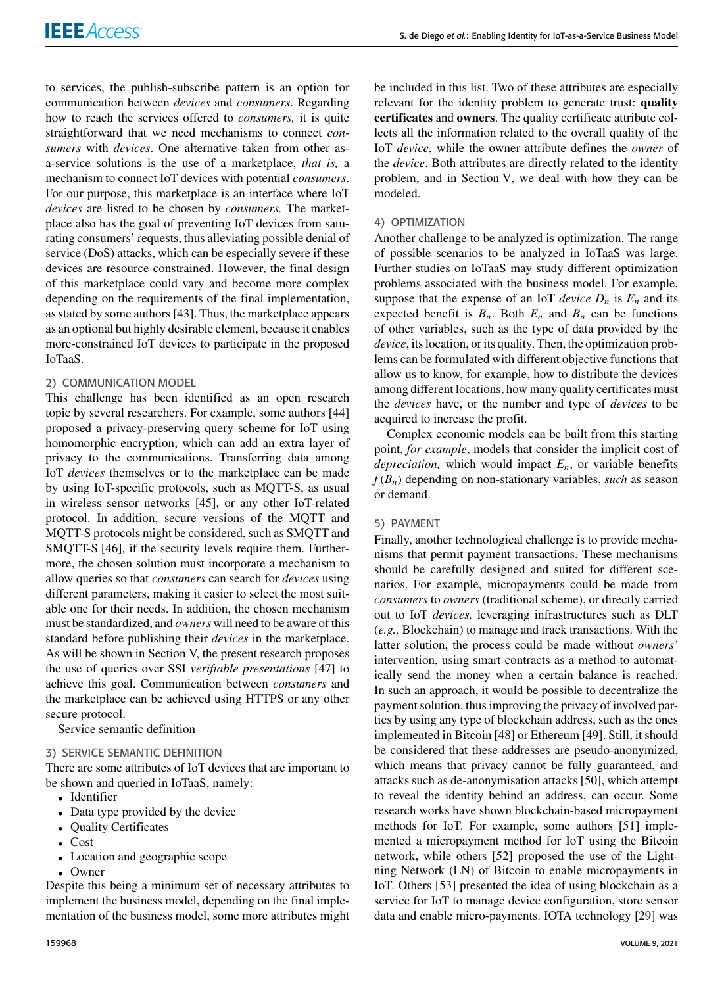to services, the publish-subscribe pattern is an option for communication between *devices* and *consumers*. Regarding how to reach the services offered to *consumers,* it is quite straightforward that we need mechanisms to connect *consumers* with *devices*. One alternative taken from other asa-service solutions is the use of a marketplace, *that is,* a mechanism to connect IoT devices with potential *consumers*. For our purpose, this marketplace is an interface where IoT *devices* are listed to be chosen by *consumers.* The marketplace also has the goal of preventing IoT devices from saturating consumers' requests, thus alleviating possible denial of service (DoS) attacks, which can be especially severe if these devices are resource constrained. However, the final design of this marketplace could vary and become more complex depending on the requirements of the final implementation, as stated by some authors [43]. Thus, the marketplace appears as an optional but highly desirable element, because it enables more-constrained IoT devices to participate in the proposed IoTaaS.

# 2) COMMUNICATION MODEL

This challenge has been identified as an open research topic by several researchers. For example, some authors [44] proposed a privacy-preserving query scheme for IoT using homomorphic encryption, which can add an extra layer of privacy to the communications. Transferring data among IoT *devices* themselves or to the marketplace can be made by using IoT-specific protocols, such as MQTT-S, as usual in wireless sensor networks [45], or any other IoT-related protocol. In addition, secure versions of the MQTT and MQTT-S protocols might be considered, such as SMQTT and SMQTT-S [46], if the security levels require them. Furthermore, the chosen solution must incorporate a mechanism to allow queries so that *consumers* can search for *devices* using different parameters, making it easier to select the most suitable one for their needs. In addition, the chosen mechanism must be standardized, and *owners* will need to be aware of this standard before publishing their *devices* in the marketplace. As will be shown in Section V, the present research proposes the use of queries over SSI *verifiable presentations* [47] to achieve this goal. Communication between *consumers* and the marketplace can be achieved using HTTPS or any other secure protocol.

Service semantic definition

### 3) SERVICE SEMANTIC DEFINITION

There are some attributes of IoT devices that are important to be shown and queried in IoTaaS, namely:

- Identifier
- Data type provided by the device
- Quality Certificates
- Cost
- Location and geographic scope
- Owner

Despite this being a minimum set of necessary attributes to implement the business model, depending on the final implementation of the business model, some more attributes might be included in this list. Two of these attributes are especially relevant for the identity problem to generate trust: **quality certificates** and **owners**. The quality certificate attribute collects all the information related to the overall quality of the IoT *device*, while the owner attribute defines the *owner* of the *device*. Both attributes are directly related to the identity problem, and in Section V, we deal with how they can be modeled.

## 4) OPTIMIZATION

Another challenge to be analyzed is optimization. The range of possible scenarios to be analyzed in IoTaaS was large. Further studies on IoTaaS may study different optimization problems associated with the business model. For example, suppose that the expense of an IoT *device*  $D_n$  is  $E_n$  and its expected benefit is  $B_n$ . Both  $E_n$  and  $B_n$  can be functions of other variables, such as the type of data provided by the *device*, its location, or its quality. Then, the optimization problems can be formulated with different objective functions that allow us to know, for example, how to distribute the devices among different locations, how many quality certificates must the *devices* have, or the number and type of *devices* to be acquired to increase the profit.

Complex economic models can be built from this starting point, *for example*, models that consider the implicit cost of *depreciation,* which would impact *En*, or variable benefits *f* (*Bn*) depending on non-stationary variables, *such* as season or demand.

### 5) PAYMENT

Finally, another technological challenge is to provide mechanisms that permit payment transactions. These mechanisms should be carefully designed and suited for different scenarios. For example, micropayments could be made from *consumers* to *owners* (traditional scheme), or directly carried out to IoT *devices,* leveraging infrastructures such as DLT (*e.g.,* Blockchain) to manage and track transactions. With the latter solution, the process could be made without *owners'* intervention, using smart contracts as a method to automatically send the money when a certain balance is reached. In such an approach, it would be possible to decentralize the payment solution, thus improving the privacy of involved parties by using any type of blockchain address, such as the ones implemented in Bitcoin [48] or Ethereum [49]. Still, it should be considered that these addresses are pseudo-anonymized, which means that privacy cannot be fully guaranteed, and attacks such as de-anonymisation attacks [50], which attempt to reveal the identity behind an address, can occur. Some research works have shown blockchain-based micropayment methods for IoT. For example, some authors [51] implemented a micropayment method for IoT using the Bitcoin network, while others [52] proposed the use of the Lightning Network (LN) of Bitcoin to enable micropayments in IoT. Others [53] presented the idea of using blockchain as a service for IoT to manage device configuration, store sensor data and enable micro-payments. IOTA technology [29] was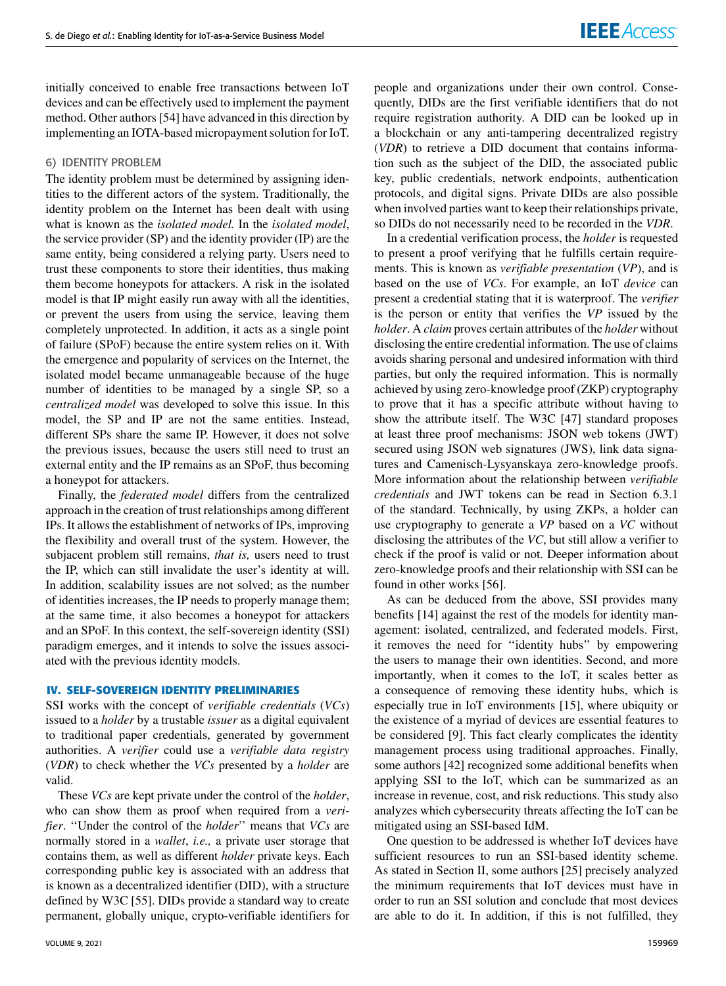initially conceived to enable free transactions between IoT devices and can be effectively used to implement the payment method. Other authors [54] have advanced in this direction by implementing an IOTA-based micropayment solution for IoT.

## 6) IDENTITY PROBLEM

The identity problem must be determined by assigning identities to the different actors of the system. Traditionally, the identity problem on the Internet has been dealt with using what is known as the *isolated model.* In the *isolated model*, the service provider (SP) and the identity provider (IP) are the same entity, being considered a relying party. Users need to trust these components to store their identities, thus making them become honeypots for attackers. A risk in the isolated model is that IP might easily run away with all the identities, or prevent the users from using the service, leaving them completely unprotected. In addition, it acts as a single point of failure (SPoF) because the entire system relies on it. With the emergence and popularity of services on the Internet, the isolated model became unmanageable because of the huge number of identities to be managed by a single SP, so a *centralized model* was developed to solve this issue. In this model, the SP and IP are not the same entities. Instead, different SPs share the same IP. However, it does not solve the previous issues, because the users still need to trust an external entity and the IP remains as an SPoF, thus becoming a honeypot for attackers.

Finally, the *federated model* differs from the centralized approach in the creation of trust relationships among different IPs. It allows the establishment of networks of IPs, improving the flexibility and overall trust of the system. However, the subjacent problem still remains, *that is,* users need to trust the IP, which can still invalidate the user's identity at will. In addition, scalability issues are not solved; as the number of identities increases, the IP needs to properly manage them; at the same time, it also becomes a honeypot for attackers and an SPoF. In this context, the self-sovereign identity (SSI) paradigm emerges, and it intends to solve the issues associated with the previous identity models.

### **IV. SELF-SOVEREIGN IDENTITY PRELIMINARIES**

SSI works with the concept of *verifiable credentials* (*VCs*) issued to a *holder* by a trustable *issuer* as a digital equivalent to traditional paper credentials, generated by government authorities. A *verifier* could use a *verifiable data registry* (*VDR*) to check whether the *VCs* presented by a *holder* are valid.

These *VCs* are kept private under the control of the *holder*, who can show them as proof when required from a *verifier*. ''Under the control of the *holder*'' means that *VCs* are normally stored in a *wallet*, *i.e.,* a private user storage that contains them, as well as different *holder* private keys. Each corresponding public key is associated with an address that is known as a decentralized identifier (DID), with a structure defined by W3C [55]. DIDs provide a standard way to create permanent, globally unique, crypto-verifiable identifiers for people and organizations under their own control. Consequently, DIDs are the first verifiable identifiers that do not require registration authority. A DID can be looked up in a blockchain or any anti-tampering decentralized registry (*VDR*) to retrieve a DID document that contains information such as the subject of the DID, the associated public key, public credentials, network endpoints, authentication protocols, and digital signs. Private DIDs are also possible when involved parties want to keep their relationships private, so DIDs do not necessarily need to be recorded in the *VDR*.

In a credential verification process, the *holder* is requested to present a proof verifying that he fulfills certain requirements. This is known as *verifiable presentation* (*VP*), and is based on the use of *VCs*. For example, an IoT *device* can present a credential stating that it is waterproof. The *verifier* is the person or entity that verifies the *VP* issued by the *holder*. A *claim* proves certain attributes of the *holder* without disclosing the entire credential information. The use of claims avoids sharing personal and undesired information with third parties, but only the required information. This is normally achieved by using zero-knowledge proof (ZKP) cryptography to prove that it has a specific attribute without having to show the attribute itself. The W3C [47] standard proposes at least three proof mechanisms: JSON web tokens (JWT) secured using JSON web signatures (JWS), link data signatures and Camenisch-Lysyanskaya zero-knowledge proofs. More information about the relationship between *verifiable credentials* and JWT tokens can be read in Section 6.3.1 of the standard. Technically, by using ZKPs, a holder can use cryptography to generate a *VP* based on a *VC* without disclosing the attributes of the *VC*, but still allow a verifier to check if the proof is valid or not. Deeper information about zero-knowledge proofs and their relationship with SSI can be found in other works [56].

As can be deduced from the above, SSI provides many benefits [14] against the rest of the models for identity management: isolated, centralized, and federated models. First, it removes the need for ''identity hubs'' by empowering the users to manage their own identities. Second, and more importantly, when it comes to the IoT, it scales better as a consequence of removing these identity hubs, which is especially true in IoT environments [15], where ubiquity or the existence of a myriad of devices are essential features to be considered [9]. This fact clearly complicates the identity management process using traditional approaches. Finally, some authors [42] recognized some additional benefits when applying SSI to the IoT, which can be summarized as an increase in revenue, cost, and risk reductions. This study also analyzes which cybersecurity threats affecting the IoT can be mitigated using an SSI-based IdM.

One question to be addressed is whether IoT devices have sufficient resources to run an SSI-based identity scheme. As stated in Section II, some authors [25] precisely analyzed the minimum requirements that IoT devices must have in order to run an SSI solution and conclude that most devices are able to do it. In addition, if this is not fulfilled, they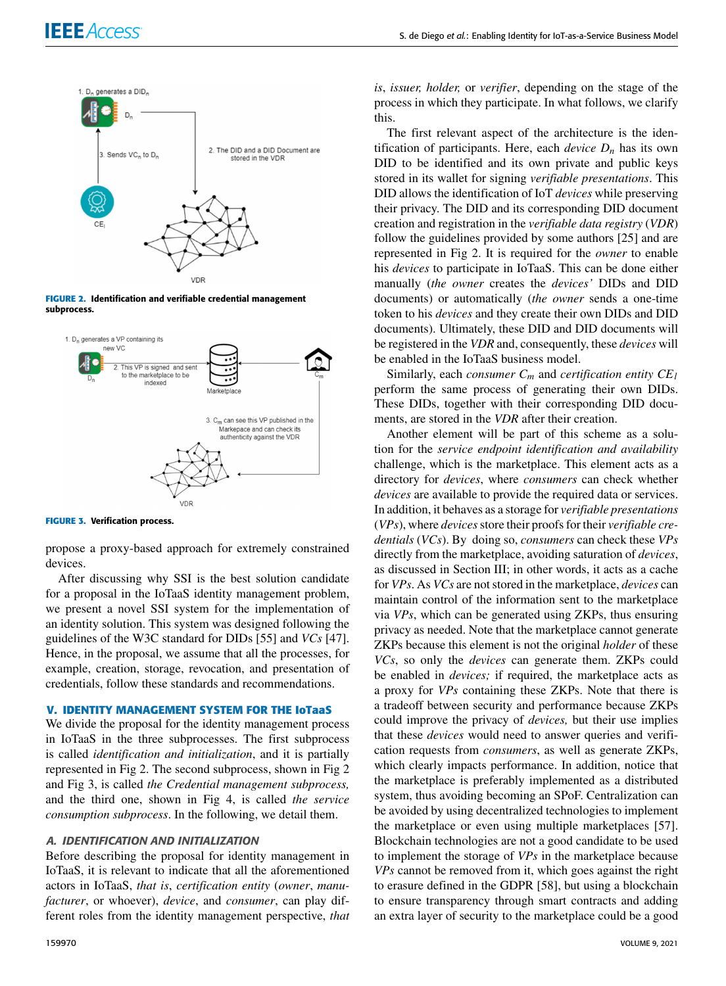

**FIGURE 2.** Identification and verifiable credential management subprocess.



**FIGURE 3.** Verification process.

propose a proxy-based approach for extremely constrained devices.

After discussing why SSI is the best solution candidate for a proposal in the IoTaaS identity management problem, we present a novel SSI system for the implementation of an identity solution. This system was designed following the guidelines of the W3C standard for DIDs [55] and *VCs* [47]. Hence, in the proposal, we assume that all the processes, for example, creation, storage, revocation, and presentation of credentials, follow these standards and recommendations.

# **V. IDENTITY MANAGEMENT SYSTEM FOR THE IoTaaS**

We divide the proposal for the identity management process in IoTaaS in the three subprocesses. The first subprocess is called *identification and initialization*, and it is partially represented in Fig 2. The second subprocess, shown in Fig 2 and Fig 3, is called *the Credential management subprocess,* and the third one, shown in Fig 4, is called *the service consumption subprocess*. In the following, we detail them.

# A. IDENTIFICATION AND INITIALIZATION

Before describing the proposal for identity management in IoTaaS, it is relevant to indicate that all the aforementioned actors in IoTaaS, *that is*, *certification entity* (*owner*, *manufacturer*, or whoever), *device*, and *consumer*, can play different roles from the identity management perspective, *that*

*is*, *issuer, holder,* or *verifier*, depending on the stage of the process in which they participate. In what follows, we clarify this.

The first relevant aspect of the architecture is the identification of participants. Here, each *device*  $D_n$  has its own DID to be identified and its own private and public keys stored in its wallet for signing *verifiable presentations*. This DID allows the identification of IoT *devices* while preserving their privacy. The DID and its corresponding DID document creation and registration in the *verifiable data registry* (*VDR*) follow the guidelines provided by some authors [25] and are represented in Fig 2. It is required for the *owner* to enable his *devices* to participate in IoTaaS. This can be done either manually (*the owner* creates the *devices'* DIDs and DID documents) or automatically (*the owner* sends a one-time token to his *devices* and they create their own DIDs and DID documents). Ultimately, these DID and DID documents will be registered in the *VDR* and, consequently, these *devices* will be enabled in the IoTaaS business model.

Similarly, each *consumer C<sup>m</sup>* and *certification entity CE<sup>l</sup>* perform the same process of generating their own DIDs. These DIDs, together with their corresponding DID documents, are stored in the *VDR* after their creation.

Another element will be part of this scheme as a solution for the *service endpoint identification and availability* challenge, which is the marketplace. This element acts as a directory for *devices*, where *consumers* can check whether *devices* are available to provide the required data or services. In addition, it behaves as a storage for *verifiable presentations* (*VPs*), where *devices*store their proofs for their *verifiable credentials* (*VCs*). By doing so, *consumers* can check these *VPs* directly from the marketplace, avoiding saturation of *devices*, as discussed in Section III; in other words, it acts as a cache for *VPs*. As *VCs* are not stored in the marketplace, *devices* can maintain control of the information sent to the marketplace via *VPs*, which can be generated using ZKPs, thus ensuring privacy as needed. Note that the marketplace cannot generate ZKPs because this element is not the original *holder* of these *VCs*, so only the *devices* can generate them. ZKPs could be enabled in *devices;* if required, the marketplace acts as a proxy for *VPs* containing these ZKPs. Note that there is a tradeoff between security and performance because ZKPs could improve the privacy of *devices,* but their use implies that these *devices* would need to answer queries and verification requests from *consumers*, as well as generate ZKPs, which clearly impacts performance. In addition, notice that the marketplace is preferably implemented as a distributed system, thus avoiding becoming an SPoF. Centralization can be avoided by using decentralized technologies to implement the marketplace or even using multiple marketplaces [57]. Blockchain technologies are not a good candidate to be used to implement the storage of *VPs* in the marketplace because *VPs* cannot be removed from it, which goes against the right to erasure defined in the GDPR [58], but using a blockchain to ensure transparency through smart contracts and adding an extra layer of security to the marketplace could be a good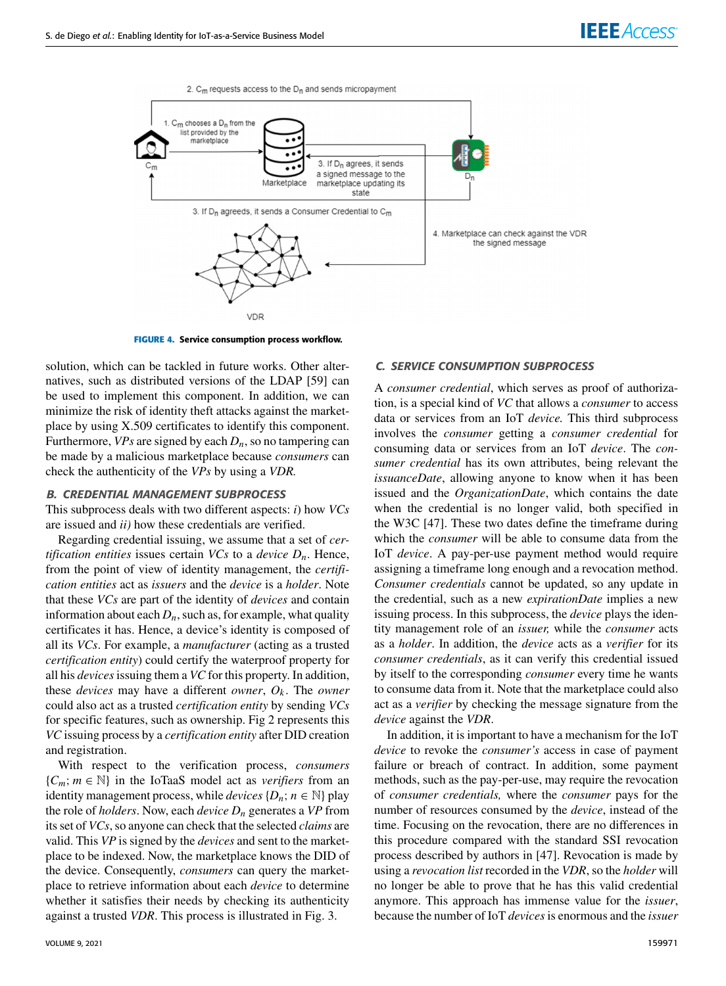

**FIGURE 4.** Service consumption process workflow.

solution, which can be tackled in future works. Other alternatives, such as distributed versions of the LDAP [59] can be used to implement this component. In addition, we can minimize the risk of identity theft attacks against the marketplace by using X.509 certificates to identify this component. Furthermore,  $VPs$  are signed by each  $D_n$ , so no tampering can be made by a malicious marketplace because *consumers* can check the authenticity of the *VPs* by using a *VDR.*

## B. CREDENTIAL MANAGEMENT SUBPROCESS

This subprocess deals with two different aspects: *i*) how *VCs* are issued and *ii)* how these credentials are verified.

Regarding credential issuing, we assume that a set of *certification entities* issues certain *VCs* to a *device Dn*. Hence, from the point of view of identity management, the *certification entities* act as *issuers* and the *device* is a *holder*. Note that these *VCs* are part of the identity of *devices* and contain information about each  $D_n$ , such as, for example, what quality certificates it has. Hence, a device's identity is composed of all its *VCs*. For example, a *manufacturer* (acting as a trusted *certification entity*) could certify the waterproof property for all his *devices*issuing them a *VC* for this property. In addition, these *devices* may have a different *owner*,  $O_k$ . The *owner* could also act as a trusted *certification entity* by sending *VCs* for specific features, such as ownership. Fig 2 represents this *VC* issuing process by a *certification entity* after DID creation and registration.

With respect to the verification process, *consumers* {*Cm*; *m* ∈ N} in the IoTaaS model act as *verifiers* from an identity management process, while *devices*  $\{D_n; n \in \mathbb{N}\}\$ play the role of *holders*. Now, each *device D<sup>n</sup>* generates a *VP* from its set of *VCs*, so anyone can check that the selected *claims* are valid. This *VP* is signed by the *devices* and sent to the marketplace to be indexed. Now, the marketplace knows the DID of the device. Consequently, *consumers* can query the marketplace to retrieve information about each *device* to determine whether it satisfies their needs by checking its authenticity against a trusted *VDR*. This process is illustrated in Fig. 3.

#### C. SERVICE CONSUMPTION SUBPROCESS

A *consumer credential*, which serves as proof of authorization, is a special kind of *VC* that allows a *consumer* to access data or services from an IoT *device.* This third subprocess involves the *consumer* getting a *consumer credential* for consuming data or services from an IoT *device*. The *consumer credential* has its own attributes, being relevant the *issuanceDate*, allowing anyone to know when it has been issued and the *OrganizationDate*, which contains the date when the credential is no longer valid, both specified in the W3C [47]. These two dates define the timeframe during which the *consumer* will be able to consume data from the IoT *device*. A pay-per-use payment method would require assigning a timeframe long enough and a revocation method. *Consumer credentials* cannot be updated, so any update in the credential, such as a new *expirationDate* implies a new issuing process. In this subprocess, the *device* plays the identity management role of an *issuer,* while the *consumer* acts as a *holder*. In addition, the *device* acts as a *verifier* for its *consumer credentials*, as it can verify this credential issued by itself to the corresponding *consumer* every time he wants to consume data from it. Note that the marketplace could also act as a *verifier* by checking the message signature from the *device* against the *VDR*.

In addition, it is important to have a mechanism for the IoT *device* to revoke the *consumer's* access in case of payment failure or breach of contract. In addition, some payment methods, such as the pay-per-use, may require the revocation of *consumer credentials,* where the *consumer* pays for the number of resources consumed by the *device*, instead of the time. Focusing on the revocation, there are no differences in this procedure compared with the standard SSI revocation process described by authors in [47]. Revocation is made by using a *revocation list* recorded in the *VDR*, so the *holder* will no longer be able to prove that he has this valid credential anymore. This approach has immense value for the *issuer*, because the number of IoT *devices*is enormous and the *issuer*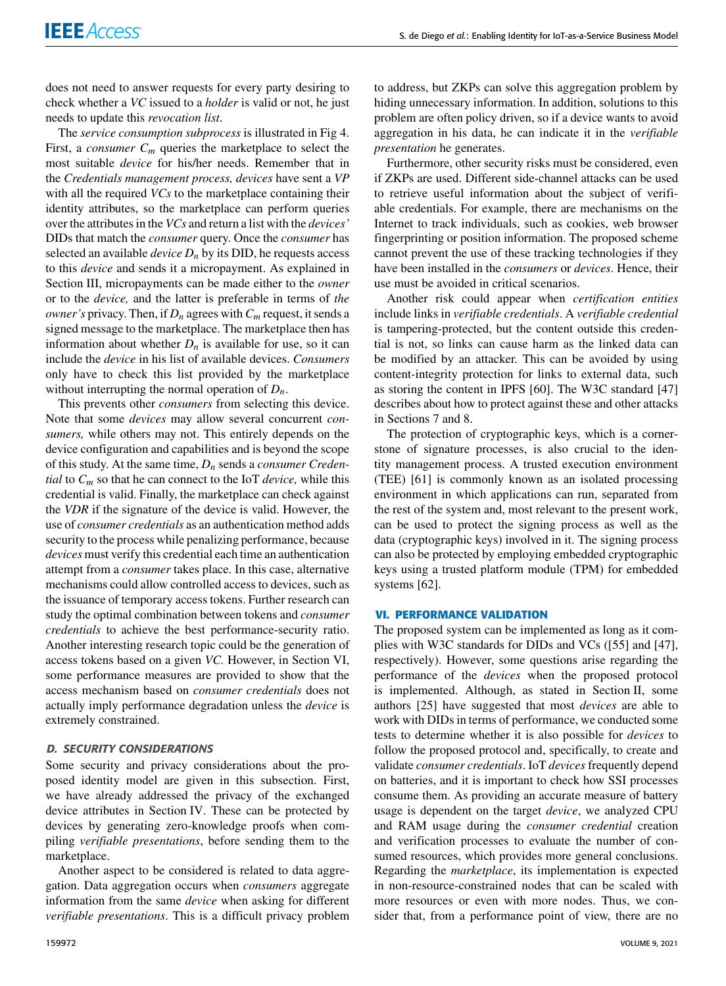does not need to answer requests for every party desiring to check whether a *VC* issued to a *holder* is valid or not, he just needs to update this *revocation list*.

The *service consumption subprocess* is illustrated in Fig 4. First, a *consumer*  $C_m$  queries the marketplace to select the most suitable *device* for his/her needs. Remember that in the *Credentials management process, devices* have sent a *VP* with all the required *VCs* to the marketplace containing their identity attributes, so the marketplace can perform queries over the attributes in the *VCs* and return a list with the *devices'* DIDs that match the *consumer* query. Once the *consumer* has selected an available *device*  $D_n$  by its DID, he requests access to this *device* and sends it a micropayment. As explained in Section III, micropayments can be made either to the *owner* or to the *device,* and the latter is preferable in terms of *the owner's* privacy. Then, if  $D_n$  agrees with  $C_m$  request, it sends a signed message to the marketplace. The marketplace then has information about whether  $D_n$  is available for use, so it can include the *device* in his list of available devices. *Consumers* only have to check this list provided by the marketplace without interrupting the normal operation of  $D_n$ .

This prevents other *consumers* from selecting this device. Note that some *devices* may allow several concurrent *consumers,* while others may not. This entirely depends on the device configuration and capabilities and is beyond the scope of this study. At the same time, *D<sup>n</sup>* sends a *consumer Credential* to *C<sup>m</sup>* so that he can connect to the IoT *device,* while this credential is valid. Finally, the marketplace can check against the *VDR* if the signature of the device is valid. However, the use of *consumer credentials* as an authentication method adds security to the process while penalizing performance, because *devices* must verify this credential each time an authentication attempt from a *consumer* takes place. In this case, alternative mechanisms could allow controlled access to devices, such as the issuance of temporary access tokens. Further research can study the optimal combination between tokens and *consumer credentials* to achieve the best performance-security ratio. Another interesting research topic could be the generation of access tokens based on a given *VC.* However, in Section VI, some performance measures are provided to show that the access mechanism based on *consumer credentials* does not actually imply performance degradation unless the *device* is extremely constrained.

### D. SECURITY CONSIDERATIONS

Some security and privacy considerations about the proposed identity model are given in this subsection. First, we have already addressed the privacy of the exchanged device attributes in Section IV. These can be protected by devices by generating zero-knowledge proofs when compiling *verifiable presentations*, before sending them to the marketplace.

Another aspect to be considered is related to data aggregation. Data aggregation occurs when *consumers* aggregate information from the same *device* when asking for different *verifiable presentations*. This is a difficult privacy problem

to address, but ZKPs can solve this aggregation problem by hiding unnecessary information. In addition, solutions to this problem are often policy driven, so if a device wants to avoid aggregation in his data, he can indicate it in the *verifiable presentation* he generates.

Furthermore, other security risks must be considered, even if ZKPs are used. Different side-channel attacks can be used to retrieve useful information about the subject of verifiable credentials. For example, there are mechanisms on the Internet to track individuals, such as cookies, web browser fingerprinting or position information. The proposed scheme cannot prevent the use of these tracking technologies if they have been installed in the *consumers* or *devices*. Hence, their use must be avoided in critical scenarios.

Another risk could appear when *certification entities* include links in *verifiable credentials*. A *verifiable credential* is tampering-protected, but the content outside this credential is not, so links can cause harm as the linked data can be modified by an attacker. This can be avoided by using content-integrity protection for links to external data, such as storing the content in IPFS [60]. The W3C standard [47] describes about how to protect against these and other attacks in Sections 7 and 8.

The protection of cryptographic keys, which is a cornerstone of signature processes, is also crucial to the identity management process. A trusted execution environment (TEE) [61] is commonly known as an isolated processing environment in which applications can run, separated from the rest of the system and, most relevant to the present work, can be used to protect the signing process as well as the data (cryptographic keys) involved in it. The signing process can also be protected by employing embedded cryptographic keys using a trusted platform module (TPM) for embedded systems [62].

#### **VI. PERFORMANCE VALIDATION**

The proposed system can be implemented as long as it complies with W3C standards for DIDs and VCs ([55] and [47], respectively). However, some questions arise regarding the performance of the *devices* when the proposed protocol is implemented. Although, as stated in Section II, some authors [25] have suggested that most *devices* are able to work with DIDs in terms of performance, we conducted some tests to determine whether it is also possible for *devices* to follow the proposed protocol and, specifically, to create and validate *consumer credentials*. IoT *devices*frequently depend on batteries, and it is important to check how SSI processes consume them. As providing an accurate measure of battery usage is dependent on the target *device*, we analyzed CPU and RAM usage during the *consumer credential* creation and verification processes to evaluate the number of consumed resources, which provides more general conclusions. Regarding the *marketplace*, its implementation is expected in non-resource-constrained nodes that can be scaled with more resources or even with more nodes. Thus, we consider that, from a performance point of view, there are no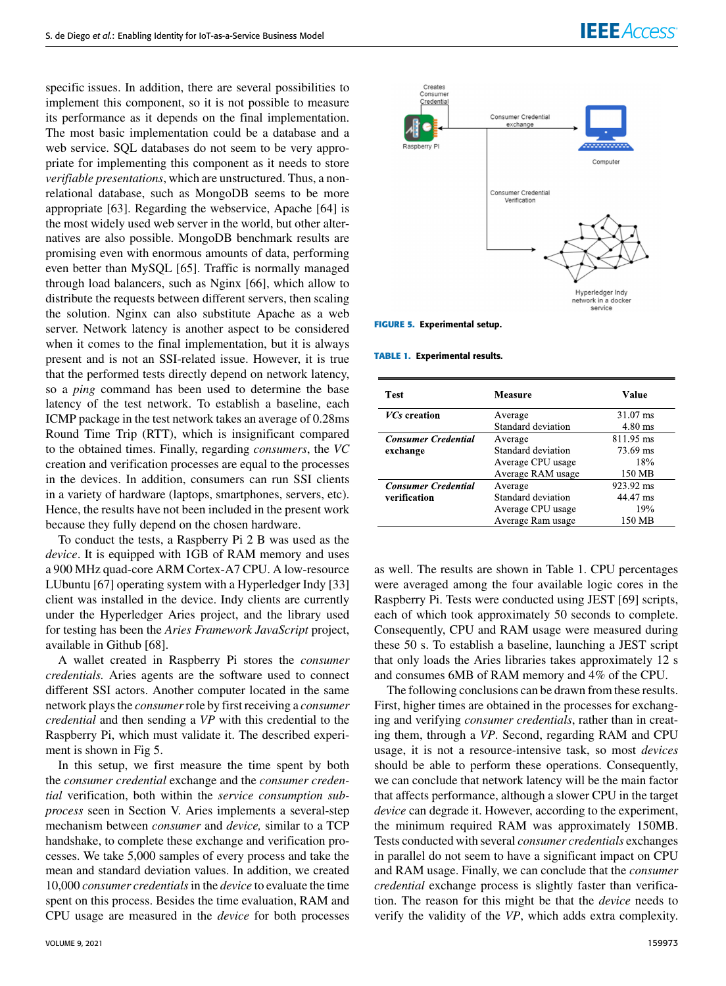specific issues. In addition, there are several possibilities to implement this component, so it is not possible to measure its performance as it depends on the final implementation. The most basic implementation could be a database and a web service. SQL databases do not seem to be very appropriate for implementing this component as it needs to store *verifiable presentations*, which are unstructured. Thus, a nonrelational database, such as MongoDB seems to be more appropriate [63]. Regarding the webservice, Apache [64] is the most widely used web server in the world, but other alternatives are also possible. MongoDB benchmark results are promising even with enormous amounts of data, performing even better than MySQL [65]. Traffic is normally managed through load balancers, such as Nginx [66], which allow to distribute the requests between different servers, then scaling the solution. Nginx can also substitute Apache as a web server. Network latency is another aspect to be considered when it comes to the final implementation, but it is always present and is not an SSI-related issue. However, it is true that the performed tests directly depend on network latency, so a *ping* command has been used to determine the base latency of the test network. To establish a baseline, each ICMP package in the test network takes an average of 0.28ms Round Time Trip (RTT), which is insignificant compared to the obtained times. Finally, regarding *consumers*, the *VC* creation and verification processes are equal to the processes in the devices. In addition, consumers can run SSI clients in a variety of hardware (laptops, smartphones, servers, etc). Hence, the results have not been included in the present work because they fully depend on the chosen hardware.

To conduct the tests, a Raspberry Pi 2 B was used as the *device*. It is equipped with 1GB of RAM memory and uses a 900 MHz quad-core ARM Cortex-A7 CPU. A low-resource LUbuntu [67] operating system with a Hyperledger Indy [33] client was installed in the device. Indy clients are currently under the Hyperledger Aries project, and the library used for testing has been the *Aries Framework JavaScript* project, available in Github [68].

A wallet created in Raspberry Pi stores the *consumer credentials.* Aries agents are the software used to connect different SSI actors. Another computer located in the same network plays the *consumer*role by first receiving a *consumer credential* and then sending a *VP* with this credential to the Raspberry Pi, which must validate it. The described experiment is shown in Fig 5.

In this setup, we first measure the time spent by both the *consumer credential* exchange and the *consumer credential* verification, both within the *service consumption subprocess* seen in Section V. Aries implements a several-step mechanism between *consumer* and *device,* similar to a TCP handshake, to complete these exchange and verification processes. We take 5,000 samples of every process and take the mean and standard deviation values. In addition, we created 10,000 *consumer credentials*in the *device* to evaluate the time spent on this process. Besides the time evaluation, RAM and CPU usage are measured in the *device* for both processes



**FIGURE 5.** Experimental setup.

#### **TABLE 1.** Experimental results.

| <b>Test</b>                | Measure            | Value     |
|----------------------------|--------------------|-----------|
| <i>VCs</i> creation        | Average            | 31.07 ms  |
|                            | Standard deviation | 4.80 ms   |
| <b>Consumer Credential</b> | Average            | 811.95 ms |
| exchange                   | Standard deviation | 73.69 ms  |
|                            | Average CPU usage  | 18%       |
|                            | Average RAM usage  | 150 MB    |
| <b>Consumer Credential</b> | Average            | 923.92 ms |
| verification               | Standard deviation | 44.47 ms  |
|                            | Average CPU usage  | 19%       |
|                            | Average Ram usage  | 150 MB    |

as well. The results are shown in Table 1. CPU percentages were averaged among the four available logic cores in the Raspberry Pi. Tests were conducted using JEST [69] scripts, each of which took approximately 50 seconds to complete. Consequently, CPU and RAM usage were measured during these 50 s. To establish a baseline, launching a JEST script that only loads the Aries libraries takes approximately 12 s and consumes 6MB of RAM memory and 4% of the CPU.

The following conclusions can be drawn from these results. First, higher times are obtained in the processes for exchanging and verifying *consumer credentials*, rather than in creating them, through a *VP*. Second, regarding RAM and CPU usage, it is not a resource-intensive task, so most *devices* should be able to perform these operations. Consequently, we can conclude that network latency will be the main factor that affects performance, although a slower CPU in the target *device* can degrade it. However, according to the experiment, the minimum required RAM was approximately 150MB. Tests conducted with several *consumer credentials* exchanges in parallel do not seem to have a significant impact on CPU and RAM usage. Finally, we can conclude that the *consumer credential* exchange process is slightly faster than verification. The reason for this might be that the *device* needs to verify the validity of the *VP*, which adds extra complexity.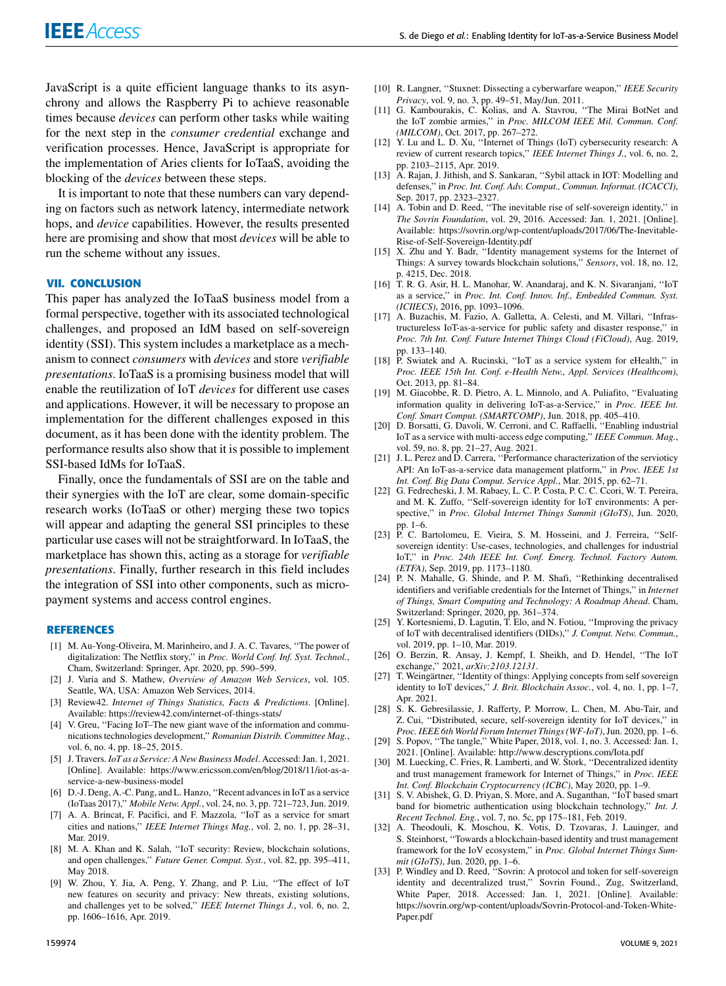JavaScript is a quite efficient language thanks to its asynchrony and allows the Raspberry Pi to achieve reasonable times because *devices* can perform other tasks while waiting for the next step in the *consumer credential* exchange and verification processes. Hence, JavaScript is appropriate for the implementation of Aries clients for IoTaaS, avoiding the blocking of the *devices* between these steps.

It is important to note that these numbers can vary depending on factors such as network latency, intermediate network hops, and *device* capabilities. However, the results presented here are promising and show that most *devices* will be able to run the scheme without any issues.

# **VII. CONCLUSION**

This paper has analyzed the IoTaaS business model from a formal perspective, together with its associated technological challenges, and proposed an IdM based on self-sovereign identity (SSI). This system includes a marketplace as a mechanism to connect *consumers* with *devices* and store *verifiable presentations*. IoTaaS is a promising business model that will enable the reutilization of IoT *devices* for different use cases and applications. However, it will be necessary to propose an implementation for the different challenges exposed in this document, as it has been done with the identity problem. The performance results also show that it is possible to implement SSI-based IdMs for IoTaaS.

Finally, once the fundamentals of SSI are on the table and their synergies with the IoT are clear, some domain-specific research works (IoTaaS or other) merging these two topics will appear and adapting the general SSI principles to these particular use cases will not be straightforward. In IoTaaS, the marketplace has shown this, acting as a storage for *verifiable presentations*. Finally, further research in this field includes the integration of SSI into other components, such as micropayment systems and access control engines.

#### **REFERENCES**

- [1] M. Au-Yong-Oliveira, M. Marinheiro, and J. A. C. Tavares, ''The power of digitalization: The Netflix story,'' in *Proc. World Conf. Inf. Syst. Technol.*, Cham, Switzerland: Springer, Apr. 2020, pp. 590–599.
- [2] J. Varia and S. Mathew, *Overview of Amazon Web Services*, vol. 105. Seattle, WA, USA: Amazon Web Services, 2014.
- [3] Review42. *Internet of Things Statistics, Facts & Predictions*. [Online]. Available: https://review42.com/internet-of-things-stats/
- [4] V. Greu, "Facing IoT-The new giant wave of the information and communications technologies development,'' *Romanian Distrib. Committee Mag.*, vol. 6, no. 4, pp. 18–25, 2015.
- [5] J. Travers. *IoT as a Service: A New Business Model*. Accessed: Jan. 1, 2021. [Online]. Available: https://www.ericsson.com/en/blog/2018/11/iot-as-aservice-a-new-business-model
- [6] D.-J. Deng, A.-C. Pang, and L. Hanzo, ''Recent advances in IoT as a service (IoTaas 2017),'' *Mobile Netw. Appl.*, vol. 24, no. 3, pp. 721–723, Jun. 2019.
- [7] A. A. Brincat, F. Pacifici, and F. Mazzola, ''IoT as a service for smart cities and nations,'' *IEEE Internet Things Mag.*, vol. 2, no. 1, pp. 28–31, Mar. 2019.
- [8] M. A. Khan and K. Salah, ''IoT security: Review, blockchain solutions, and open challenges,'' *Future Gener. Comput. Syst.*, vol. 82, pp. 395–411, May 2018.
- [9] W. Zhou, Y. Jia, A. Peng, Y. Zhang, and P. Liu, ''The effect of IoT new features on security and privacy: New threats, existing solutions, and challenges yet to be solved,'' *IEEE Internet Things J.*, vol. 6, no. 2, pp. 1606–1616, Apr. 2019.
- [10] R. Langner, ''Stuxnet: Dissecting a cyberwarfare weapon,'' *IEEE Security Privacy*, vol. 9, no. 3, pp. 49–51, May/Jun. 2011.
- [11] G. Kambourakis, C. Kolias, and A. Stavrou, ''The Mirai BotNet and the IoT zombie armies,'' in *Proc. MILCOM IEEE Mil. Commun. Conf. (MILCOM)*, Oct. 2017, pp. 267–272.
- [12] Y. Lu and L. D. Xu, ''Internet of Things (IoT) cybersecurity research: A review of current research topics,'' *IEEE Internet Things J.*, vol. 6, no. 2, pp. 2103–2115, Apr. 2019.
- [13] A. Rajan, J. Jithish, and S. Sankaran, "Sybil attack in IOT: Modelling and defenses,'' in *Proc. Int. Conf. Adv. Comput., Commun. Informat. (ICACCI)*, Sep. 2017, pp. 2323–2327.
- [14] A. Tobin and D. Reed, "The inevitable rise of self-sovereign identity," in *The Sovrin Foundation*, vol. 29, 2016. Accessed: Jan. 1, 2021. [Online]. Available: https://sovrin.org/wp-content/uploads/2017/06/The-Inevitable-Rise-of-Self-Sovereign-Identity.pdf
- [15] X. Zhu and Y. Badr, "Identity management systems for the Internet of Things: A survey towards blockchain solutions,'' *Sensors*, vol. 18, no. 12, p. 4215, Dec. 2018.
- [16] T. R. G. Asir, H. L. Manohar, W. Anandaraj, and K. N. Sivaranjani, ''IoT as a service,'' in *Proc. Int. Conf. Innov. Inf., Embedded Commun. Syst. (ICIIECS)*, 2016, pp. 1093–1096.
- [17] A. Buzachis, M. Fazio, A. Galletta, A. Celesti, and M. Villari, ''Infrastructureless IoT-as-a-service for public safety and disaster response,'' in *Proc. 7th Int. Conf. Future Internet Things Cloud (FiCloud)*, Aug. 2019,
- pp. 133–140. [18] P. Swiatek and A. Rucinski, ''IoT as a service system for eHealth,'' in *Proc. IEEE 15th Int. Conf. e-Health Netw., Appl. Services (Healthcom)*, Oct. 2013, pp. 81–84.
- [19] M. Giacobbe, R. D. Pietro, A. L. Minnolo, and A. Puliafito, ''Evaluating information quality in delivering IoT-as-a-Service,'' in *Proc. IEEE Int.*
- *Conf. Smart Comput. (SMARTCOMP)*, Jun. 2018, pp. 405–410. [20] D. Borsatti, G. Davoli, W. Cerroni, and C. Raffaelli, ''Enabling industrial IoT as a service with multi-access edge computing,'' *IEEE Commun. Mag.*, vol. 59, no. 8, pp. 21–27, Aug. 2021.
- [21] J. L. Perez and D. Carrera, ''Performance characterization of the servioticy API: An IoT-as-a-service data management platform,'' in *Proc. IEEE 1st Int. Conf. Big Data Comput. Service Appl.*, Mar. 2015, pp. 62–71.
- [22] G. Fedrecheski, J. M. Rabaey, L. C. P. Costa, P. C. C. Ccori, W. T. Pereira, and M. K. Zuffo, ''Self-sovereign identity for IoT environments: A perspective,'' in *Proc. Global Internet Things Summit (GIoTS)*, Jun. 2020,
- pp. 1–6. [23] P. C. Bartolomeu, E. Vieira, S. M. Hosseini, and J. Ferreira, ''Selfsovereign identity: Use-cases, technologies, and challenges for industrial IoT,'' in *Proc. 24th IEEE Int. Conf. Emerg. Technol. Factory Autom. (ETFA)*, Sep. 2019, pp. 1173–1180.
- [24] P. N. Mahalle, G. Shinde, and P. M. Shafi, "Rethinking decentralised identifiers and verifiable credentials for the Internet of Things,'' in *Internet of Things, Smart Computing and Technology: A Roadmap Ahead*. Cham,
- Switzerland: Springer, 2020, pp. 361–374. [25] Y. Kortesniemi, D. Lagutin, T. Elo, and N. Fotiou, ''Improving the privacy of IoT with decentralised identifiers (DIDs),'' *J. Comput. Netw. Commun.*, vol. 2019, pp. 1–10, Mar. 2019.
- [26] O. Berzin, R. Ansay, J. Kempf, I. Sheikh, and D. Hendel, ''The IoT exchange,'' 2021, *arXiv:2103.12131*.
- [27] T. Weingärtner, ''Identity of things: Applying concepts from self sovereign identity to IoT devices,'' *J. Brit. Blockchain Assoc.*, vol. 4, no. 1, pp. 1–7, Apr. 2021.
- [28] S. K. Gebresilassie, J. Rafferty, P. Morrow, L. Chen, M. Abu-Tair, and Z. Cui, ''Distributed, secure, self-sovereign identity for IoT devices,'' in
- *Proc. IEEE 6th World Forum Internet Things (WF-IoT)*, Jun. 2020, pp. 1–6. [29] S. Popov, ''The tangle,'' White Paper, 2018, vol. 1, no. 3. Accessed: Jan. 1, 2021. [Online]. Available: http://www.descryptions.com/Iota.pdf
- [30] M. Luecking, C. Fries, R. Lamberti, and W. Stork, "Decentralized identity and trust management framework for Internet of Things,'' in *Proc. IEEE Int. Conf. Blockchain Cryptocurrency (ICBC)*, May 2020, pp. 1–9.
- [31] S. V. Abishek, G. D. Priyan, S. More, and A. Suganthan, ''IoT based smart band for biometric authentication using blockchain technology,'' *Int. J. Recent Technol. Eng.*, vol. 7, no. 5c, pp 175–181, Feb. 2019.
- [32] A. Theodouli, K. Moschou, K. Votis, D. Tzovaras, J. Lauinger, and S. Steinhorst, ''Towards a blockchain-based identity and trust management framework for the IoV ecosystem,'' in *Proc. Global Internet Things Sum-*
- *mit (GIoTS)*, Jun. 2020, pp. 1–6.<br>[33] P. Windley and D. Reed, "Sovrin: A protocol and token for self-sovereign identity and decentralized trust,'' Sovrin Found., Zug, Switzerland, White Paper, 2018. Accessed: Jan. 1, 2021. [Online]. Available: https://sovrin.org/wp-content/uploads/Sovrin-Protocol-and-Token-White-Paper.pdf